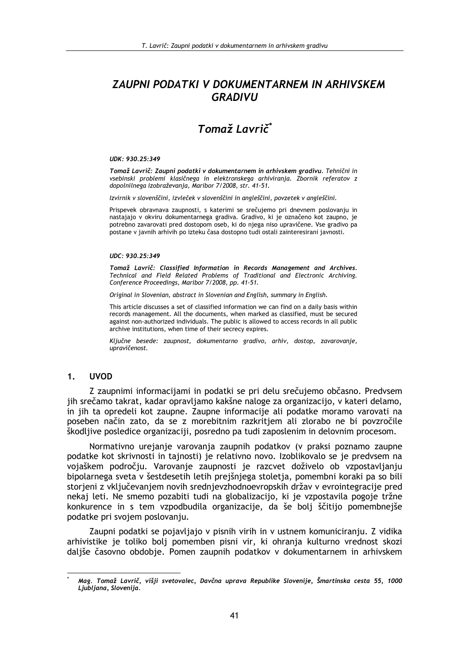## **ZAUPNI PODATKI V DOKUMENTARNEM IN ARHIVSKEM GRADIVU**

## Tomaž Lavrič<sup>\*</sup>

## UDK: 930.25:349

Tomaž Lavrič: Zaupni podatki v dokumentarnem in arhivskem gradivu. Tehnični in vsebinski problemi klasičnega in elektronskega arhiviranja. Zbornik referatov z dopolnilnega izobraževanja, Maribor 7/2008, str. 41-51.

Izvirnik v slovenščini, izvleček v slovenščini in angleščini, povzetek v angleščini.

Prispevek obravnava zaupnosti, s katerimi se srečujemo pri dnevnem poslovanju in nastajajo v okviru dokumentarnega gradiva. Gradivo, ki je označeno kot zaupno, je potrebno zavarovati pred dostopom oseb, ki do njega niso upravičene. Vse gradivo pa postane v javnih arhivih po izteku časa dostopno tudi ostali zainteresirani javnosti.

## UDC: 930.25:349

Tomaž Lavrič: Classified Information in Records Management and Archives. Technical and Field Related Problems of Traditional and Electronic Archiving. Conference Proceedings, Maribor 7/2008, pp. 41-51.

Original in Slovenian, abstract in Slovenian and English, summary in English.

This article discusses a set of classified information we can find on a daily basis within records management. All the documents, when marked as classified, must be secured against non-authorized individuals. The public is allowed to access records in all public archive institutions, when time of their secrecy expires.

Ključne besede: zaupnost, dokumentarno gradivo, arhiv, dostop, zavarovanje, upravičenost.

#### $1<sub>1</sub>$ **UVOD**

Z zaupnimi informacijami in podatki se pri delu srečujemo občasno. Predvsem jih srečamo takrat, kadar opravljamo kakšne naloge za organizacijo, v kateri delamo, in jih ta opredeli kot zaupne. Zaupne informacije ali podatke moramo varovati na poseben način zato, da se z morebitnim razkritjem ali zlorabo ne bi povzročile škodljive posledice organizaciji, posredno pa tudi zaposlenim in delovnim procesom.

Normativno urejanje varovanja zaupnih podatkov (v praksi poznamo zaupne podatke kot skrivnosti in tajnosti) je relativno novo. Izoblikovalo se je predvsem na vojaškem področju. Varovanje zaupnosti je razcvet doživelo ob vzpostavljanju bipolarnega sveta v šestdesetih letih prejšnjega stoletja, pomembni koraki pa so bili storjeni z vključevanjem novih srednjevzhodnoevropskih držav v evrojntegracije pred nekaj leti. Ne smemo pozabiti tudi na globalizacijo, ki je vzpostavila pogoje tržne konkurence in s tem vzpodbudila organizacije, da še bolj ščitijo pomembnejše podatke pri svojem poslovanju.

Zaupni podatki se pojavljajo v pisnih virih in v ustnem komuniciranju. Z vidika arhivistike je toliko bolj pomemben pisni vir, ki ohranja kulturno vrednost skozi dališe časovno obdobje. Pomen zaupnih podatkov v dokumentarnem in arhivskem

Mag. Tomaž Lavrič, višji svetovalec, Davčna uprava Republike Slovenije, Šmartinska cesta 55, 1000 Ljubljana, Slovenija.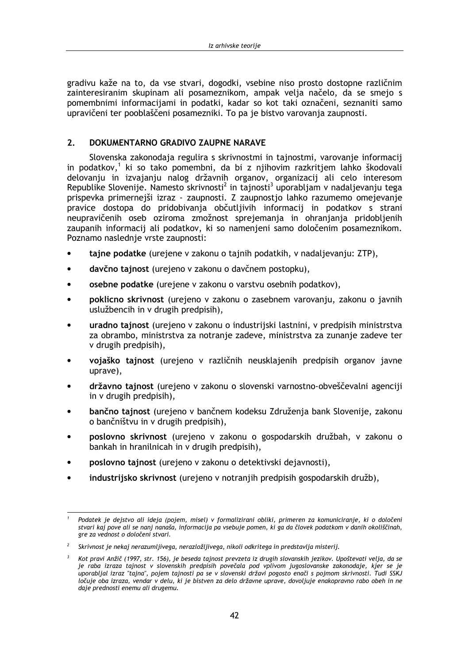gradivu kaže na to, da vse stvari, dogodki, vsebine niso prosto dostopne različnim zainteresiranim skupinam ali posameznikom, ampak velja načelo, da se smejo s pomembnimi informacijami in podatki, kadar so kot taki označeni, seznaniti samo upravičeni ter pooblaščeni posamezniki. To pa je bistvo varovanja zaupnosti.

#### $\overline{2}$ DOKUMENTARNO GRADIVO ZAUPNE NARAVE

Slovenska zakonodaja regulira s skrivnostmi in tajnostmi, varovanje informacij in podatkov,<sup>1</sup> ki so tako pomembni, da bi z njihovim razkritjem lahko škodovali delovanju in izvajanju nalog državnih organov, organizacij ali celo interesom Republike Slovenije. Namesto skrivnosti<sup>2</sup> in tajnosti<sup>3</sup> uporabljam v nadaljevanju tega prispevka primernejši izraz - zaupnosti. Z zaupnostjo lahko razumemo omejevanje pravice dostopa do pridobivanja občutljivih informacij in podatkov s strani neupravičenih oseb oziroma zmožnost sprejemanja in ohranjanja pridobljenih zaupanih informacij ali podatkov, ki so namenjeni samo določenim posameznikom. Poznamo naslednje vrste zaupnosti:

- tajne podatke (urejene v zakonu o tajnih podatkih, v nadaljevanju: ZTP),  $\bullet$
- davčno tajnost (urejeno v zakonu o davčnem postopku),  $\blacksquare$
- osebne podatke (urejene v zakonu o varstvu osebnih podatkov),
- poklicno skrivnost (urejeno v zakonu o zasebnem varovanju, zakonu o javnih uslužbencih in v drugih predpisih),
- uradno tajnost (urejeno v zakonu o industrijski lastnini, v predpisih ministrstva za obrambo, ministrstva za notranje zadeve, ministrstva za zunanje zadeve ter v drugih predpisih),
- vojaško tajnost (urejeno v različnih neusklajenih predpisih organov javne uprave),
- državno tajnost (urejeno v zakonu o slovenski varnostno-obveščevalni agenciji in v drugih predpisih),
- bančno tajnost (urejeno v bančnem kodeksu Združenja bank Slovenije, zakonu o bančništvu in v drugih predpisih),
- poslovno skrivnost (urejeno v zakonu o gospodarskih družbah, v zakonu o bankah in hranilnicah in v drugih predpisih),
- poslovno tajnost (urejeno v zakonu o detektivski dejavnosti),
- industrijsko skrivnost (urejeno v notranjih predpisih gospodarskih družb),

Podatek je dejstvo ali ideja (pojem, misel) v formalizirani obliki, primeren za komuniciranje, ki o določeni stvari kaj pove ali se nanj nanaša, informacija pa vsebuje pomen, ki ga da človek podatkom v danih okoliščinah, gre za vednost o določeni stvari.

 $\overline{2}$ Skrivnost je nekaj nerazumljivega, nerazložljivega, nikoli odkritega in predstavlja misterij.

 $\overline{3}$ Kot pravi Anžič (1997, str. 156), je beseda tajnost prevzeta iz drugih slovanskih jezikov. Upoštevati velja, da se je raba izraza tajnost v slovenskih predpisih povečala pod vplivom jugoslovanske zakonodaje, kjer se je uporabljal izraz "tajna", pojem tajnosti pa se v slovenski državi pogosto enači s pojmom skrivnosti. Tudi SSKJ ločuje oba izraza, vendar v delu, ki je bistven za delo državne uprave, dovoljuje enakopravno rabo obeh in ne daje prednosti enemu ali drugemu.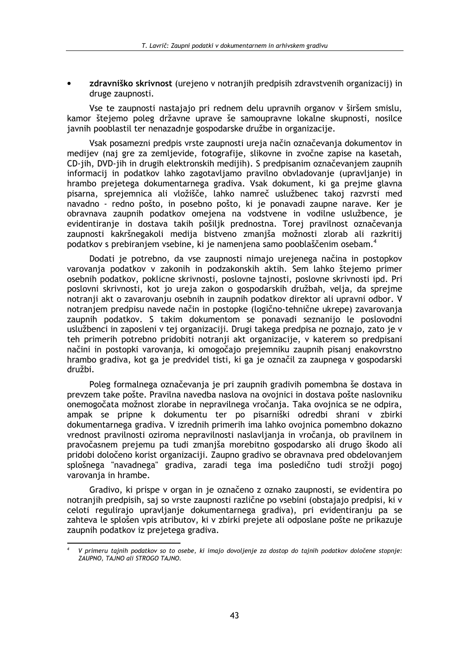zdravniško skrivnost (urejeno v notranjih predpisih zdravstvenih organizacij) in druge zaupnosti.

Vse te zaupnosti nastajajo pri rednem delu upravnih organov v širšem smislu. kamor štejemo poleg državne uprave še samoupravne lokalne skupnosti, nosilce javnih pooblastil ter nenazadnie gospodarske družbe in organizacije.

Vsak posamezni predpis vrste zaupnosti ureja način označevanja dokumentov in medijev (naj gre za zemljevide, fotografije, slikovne in zvočne zapise na kasetah, CD-jih, DVD-jih in drugih elektronskih medijih). S predpisanim označevanjem zaupnih informacij in podatkov lahko zagotavljamo pravilno obvladovanje (upravljanje) in hrambo prejetega dokumentarnega gradiva. Vsak dokument, ki ga prejme glavna pisarna, sprejemnica ali vložišče, lahko namreč uslužbenec takoj razvrsti med navadno - redno pošto, in posebno pošto, ki je ponavadi zaupne narave. Ker je obravnava zaupnih podatkov omejena na vodstvene in vodilne uslužbence, je evidentiranje in dostava takih pošiljk prednostna. Torej pravilnost označevanja zaupnosti kakršnegakoli medija bistveno zmaniša možnosti zlorab ali razkritij podatkov s prebiranjem vsebine, ki je namenjena samo pooblaščenim osebam.<sup>4</sup>

Dodati je potrebno, da vse zaupnosti nimajo urejenega načina in postopkov varovanja podatkov v zakonih in podzakonskih aktih. Sem lahko štejemo primer osebnih podatkov, poklicne skrivnosti, poslovne tajnosti, poslovne skrivnosti ipd. Pri poslovni skrivnosti, kot jo ureja zakon o gospodarskih družbah, velja, da sprejme notranji akt o zavarovanju osebnih in zaupnih podatkov direktor ali upravni odbor. V notranjem predpisu navede način in postopke (logično-tehnične ukrepe) zavarovanja zaupnih podatkov. S takim dokumentom se ponavadi seznanijo le poslovodni uslužbenci in zaposleni v tej organizaciji. Drugi takega predpisa ne poznajo, zato je v teh primerih potrebno pridobiti notranji akt organizacije, v katerem so predpisani načini in postopki varovanja, ki omogočajo prejemniku zaupnih pisanj enakovrstno hrambo gradiva, kot ga je predvidel tisti, ki ga je označil za zaupnega v gospodarski družbi

Poleg formalnega označevanja je pri zaupnih gradivih pomembna še dostava in prevzem take pošte. Pravilna navedba naslova na ovojnici in dostava pošte naslovniku onemogočata možnost zlorabe in nepravilnega vročania. Taka ovojnica se ne odpira, ampak se pripne k dokumentu ter po pisarniški odredbi shrani v zbirki dokumentarnega gradiva. V izrednih primerih ima lahko ovojnica pomembno dokazno vrednost pravilnosti oziroma nepravilnosti naslavljanja in vročanja, ob pravilnem in pravočasnem prejemu pa tudi zmaniša morebitno gospodarsko ali drugo škodo ali pridobi določeno korist organizaciji. Zaupno gradivo se obravnava pred obdelovanjem splošnega "navadnega" gradiva, zaradi tega ima posledično tudi strožji pogoj varovanja in hrambe.

Gradivo, ki prispe v organ in je označeno z oznako zaupnosti, se evidentira po notranjih predpisih, saj so vrste zaupnosti različne po vsebini (obstajajo predpisi, ki v celoti regulirajo upravljanje dokumentarnega gradiva), pri evidentiranju pa se zahteva le splošen vpis atributov, ki v zbirki prejete ali odposlane pošte ne prikazuje zaupnih podatkov iz prejetega gradiva.

V primeru tajnih podatkov so to osebe, ki imajo dovoljenje za dostop do tajnih podatkov določene stopnje: ZAUPNO. TAJNO GII STROGO TAJNO.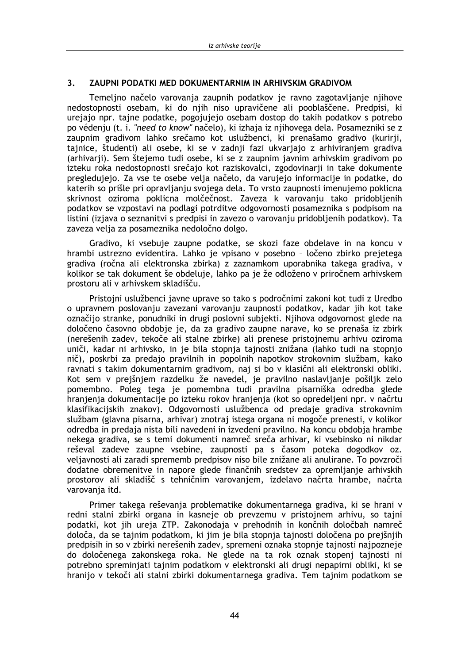#### ZAUPNI PODATKI MED DOKUMENTARNIM IN ARHIVSKIM GRADIVOM  $3<sub>1</sub>$

Temeljno načelo varovanja zaupnih podatkov je ravno zagotavljanje njihove nedostopnosti osebam, ki do njih niso upravičene ali pooblaščene. Predpisi, ki urejajo npr. tajne podatke, pogojujejo osebam dostop do takih podatkov s potrebo po védenju (t. i. "need to know" načelo), ki izhaja iz njihovega dela. Posamezniki se z zaupnim gradivom lahko srečamo kot uslužbenci, ki prenašamo gradivo (kurirji, tajnice, študenti) ali osebe, ki se v zadnji fazi ukvarjajo z arhiviranjem gradiva (arhivarji). Sem štejemo tudi osebe, ki se z zaupnim javnim arhivskim gradivom po izteku roka nedostopnosti srečajo kot raziskovalci, zgodovinarji in take dokumente pregledujejo. Za vse te osebe velja načelo, da varujejo informacije in podatke, do katerih so prišle pri opravljanju svojega dela. To vrsto zaupnosti imenujemo poklicna skrivnost oziroma poklicna molčečnost. Zaveza k varovanju tako pridobljenih podatkov se vzpostavi na podlagi potrditve odgovornosti posameznika s podpisom na listini (izjava o seznanitvi s predpisi in zavezo o varovanju pridobljenih podatkov). Ta zaveza velja za posameznika nedoločno dolgo.

Gradivo, ki vsebuje zaupne podatke, se skozi faze obdelave in na koncu v hrambi ustrezno evidentira. Lahko je vpisano v posebno - ločeno zbirko prejetega gradiva (ročna ali elektronska zbirka) z zaznamkom uporabnika takega gradiva, v kolikor se tak dokument še obdeluje, lahko pa je že odloženo v priročnem arhivskem prostoru ali v arhivskem skladišču.

Pristojni uslužbenci javne uprave so tako s področnimi zakoni kot tudi z Uredbo o upravnem poslovanju zavezani varovanju zaupnosti podatkov, kadar jih kot take označijo stranke, ponudniki in drugi poslovni subjekti. Njihova odgovornost glede na določeno časovno obdobje je, da za gradivo zaupne narave, ko se prenaša iz zbirk (nerešenih zadev, tekoče ali stalne zbirke) ali prenese pristojnemu arhivu oziroma uniči, kadar ni arhivsko, in je bila stopnja tajnosti znižana (lahko tudi na stopnjo nič), poskrbi za predajo pravilnih in popolnih napotkov strokovnim službam, kako ravnati s takim dokumentarnim gradivom, nai si bo v klasični ali elektronski obliki. Kot sem v prejšnjem razdelku že navedel, je pravilno naslavljanje pošiljk zelo pomembno. Poleg tega je pomembna tudi pravilna pisarniška odredba glede hranjenja dokumentacije po izteku rokov hranjenja (kot so opredeljeni npr. v načrtu klasifikacijskih znakov). Odgovornosti uslužbenca od predaje gradiva strokovnim službam (glavna pisarna, arhivar) znotraj istega organa ni mogoče prenesti, y kolikor odredba in predaja nista bili navedeni in izvedeni pravilno. Na koncu obdobja hrambe nekega gradiva, se s temi dokumenti namreč sreča arhivar, ki vsebinsko ni nikdar reševal zadeve zaupne vsebine, zaupnosti pa s časom poteka dogodkov oz. veljavnosti ali zaradi sprememb predpisov niso bile znižane ali anulirane. To povzroči dodatne obremenitve in napore glede finančnih sredstev za opremljanje arhivskih prostorov ali skladišč s tehničnim varovanjem, izdelavo načrta hrambe, načrta varovanja itd.

Primer takega reševanja problematike dokumentarnega gradiva, ki se hrani v redni stalni zbirki organa in kasneje ob prevzemu v pristojnem arhivu, so tajni podatki, kot jih ureja ZTP. Zakonodaja v prehodnih in končnih določbah namreč določa, da se tajnim podatkom, ki jim je bila stopnja tajnosti določena po prejšnjih predpisih in so v zbirki nerešenih zadev, spremeni oznaka stopnje tajnosti najpozneje do določenega zakonskega roka. Ne glede na ta rok oznak stopenj tajnosti ni potrebno spreminjati tajnim podatkom v elektronski ali drugi nepapirni obliki, ki se hranijo v tekoči ali stalni zbirki dokumentarnega gradiva. Tem tajnim podatkom se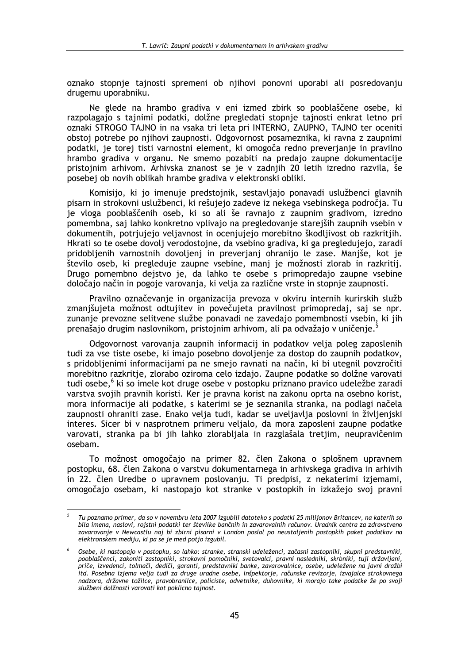oznako stopnie tajnosti spremeni ob nijhovi ponovni uporabi ali posredovanju drugemu uporabniku.

Ne glede na hrambo gradiva v eni izmed zbirk so pooblaščene osebe, ki razpolagajo s tajnimi podatki, dolžne pregledati stopnie tajnosti enkrat letno pri oznaki STROGO TAJNO in na vsaka tri leta pri INTERNO, ZAUPNO, TAJNO ter oceniti obstoj potrebe po njihovi zaupnosti. Odgovornost posameznika, ki ravna z zaupnimi podatki, je torej tisti varnostni element, ki omogoča redno preverjanje in pravilno hrambo gradiva v organu. Ne smemo pozabiti na predajo zaupne dokumentacije pristojnim arhivom. Arhivska znanost se je v zadnjih 20 letih izredno razvila, še posebej ob novih oblikah hrambe gradiva v elektronski obliki.

Komisijo, ki jo imenuje predstojnik, sestavljajo ponavadi uslužbenci glavnih pisarn in strokovni uslužbenci, ki rešujejo zadeve iz nekega vsebinskega področja. Tu je vloga pooblaščenih oseb, ki so ali še ravnajo z zaupnim gradivom, izredno pomembna, saj lahko konkretno vplivajo na pregledovanje starejših zaupnih vsebin v dokumentih, potrjujejo veljavnost in ocenjujejo morebitno škodljivost ob razkritjih. Hkrati so te osebe dovolj verodostojne, da vsebino gradiva, ki ga pregledujejo, zaradi pridobljenih varnostnih dovoljenj in preverjanj ohranijo le zase. Manjše, kot je število oseb, ki pregleduje zaupne vsebine, manj je možnosti zlorab in razkritij. Drugo pomembno dejstvo je, da lahko te osebe s primopredajo zaupne vsebine določajo način in pogoje varovanja, ki velja za različne vrste in stopnje zaupnosti.

Pravilno označevanie in organizacija prevoza v okviru internih kurirskih služb zmanjšujeta možnost odtujitev in povečujeta pravilnost primopredaj, saj se npr. zunanje prevozne selitvene službe ponavadi ne zavedajo pomembnosti vsebin, ki jih prenašajo drugim naslovnikom, pristojnim arhivom, ali pa odvažajo v uničenje.

Odgovornost varovania zaupnih informacii in podatkov velia poleg zaposlenih tudi za vse tiste osebe, ki imajo posebno dovoljenje za dostop do zaupnih podatkov, s pridobljenimi informacijami pa ne smejo ravnati na način, ki bi utegnil povzročiti morebitno razkritie, zlorabo oziroma celo izdajo. Zaupne podatke so dolžne varovati tudi osebe,<sup>6</sup> ki so imele kot druge osebe v postopku priznano pravico udeležbe zaradi varstva svojih pravnih koristi. Ker je pravna korist na zakonu oprta na osebno korist, mora informacije ali podatke, s katerimi se je seznanila stranka, na podlagi načela zaupnosti ohraniti zase. Enako velja tudi, kadar se uveljavlja poslovni in življeniski interes. Sicer bi v nasprotnem primeru veljalo, da mora zaposleni zaupne podatke varovati, stranka pa bi jih lahko zlorabljala in razglašala tretjim, neupravičenim osebam.

To možnost omogočajo na primer 82. člen Zakona o splošnem upravnem postopku, 68. člen Zakona o varstvu dokumentarnega in arhivskega gradiva in arhivih in 22. člen Uredbe o upravnem poslovanju. Ti predpisi, z nekaterimi izjemami, omogočajo osebam, ki nastopajo kot stranke v postopkih in izkažejo svoj pravni

 $\overline{5}$ Tu poznamo primer, da so v novembru leta 2007 izgubili datoteko s podatki 25 milijonov Britancev, na katerih so bila imena, naslovi, roistni podatki ter številke bančnih in zavarovalnih računov. Uradnik centra za zdravstveno zavarovanje v Newcastlu naj bi zbirni pisarni v London poslal po neustaljenih postopkih paket podatkov na elektronskem mediju, ki pa se je med potjo izgubil.

Osebe, ki nastopajo v postopku, so lahko: stranke, stranski udeleženci, začasni zastopniki, skupni predstavniki, pooblaščenci, zakoniti zastopniki, strokovni pomočniki, svetovalci, pravni nasledniki, skrbniki, tuji državljani, priče, izvedenci, tolmači, dediči, garanti, predstavniki banke, zavarovalnice, osebe, udeležene na javni dražbi itd. Posebna izjema velja tudi za druge uradne osebe, inšpektorje, računske revizorje, izvajalce strokovnega nadzora, državne tožilce, pravobranilce, policiste, odvetnike, duhovnike, ki morajo take podatke že po svoji službeni dolžnosti varovati kot poklicno tajnost.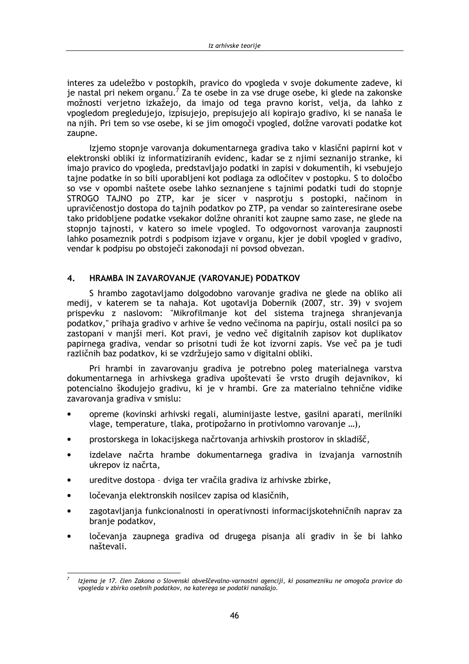interes za udeležbo v postopkih, pravico do vpogleda v svoje dokumente zadeve, ki je nastal pri nekem organu.<sup>7</sup> Za te osebe in za vse druge osebe, ki glede na zakonske možnosti verjetno izkažejo, da imajo od tega pravno korist, velja, da lahko z vpogledom pregledujejo, izpisujejo, prepisujejo ali kopirajo gradivo, ki se nanaša le na njih. Pri tem so vse osebe, ki se jim omogoči vpogled, dolžne varovati podatke kot zaupne.

Izjemo stopnje varovanja dokumentarnega gradiva tako v klasični papirni kot v elektronski obliki iz informatiziranih evidenc, kadar se z njimi seznanijo stranke, ki imajo pravico do vpogleda, predstavljajo podatki in zapisi v dokumentih, ki vsebujejo tajne podatke in so bili uporabljeni kot podlaga za odločitev v postopku. S to določbo so vse v opombi naštete osebe lahko seznanjene s tajnimi podatki tudi do stopnje STROGO TAJNO po ZTP, kar je sicer v nasprotju s postopki, načinom in upravičenostjo dostopa do tajnih podatkov po ZTP, pa vendar so zainteresirane osebe tako pridobljene podatke vsekakor dolžne ohraniti kot zaupne samo zase, ne glede na stopnio tajnosti, y katero so imele vpogled. To odgovornost varovanja zaupnosti lahko posameznik potrdi s podpisom izjave v organu, kjer je dobil vpogled v gradivo, vendar k podpisu po obstoječi zakonodaji ni povsod obvezan.

#### $4.$ HRAMBA IN ZAVAROVANJE (VAROVANJE) PODATKOV

S hrambo zagotavljamo dolgodobno varovanje gradiva ne glede na obliko ali medij, v katerem se ta nahaja. Kot ugotavlja Dobernik (2007, str. 39) v svojem prispevku z naslovom: "Mikrofilmanje kot del sistema trajnega shranjevanja podatkov," prihaja gradivo v arhive še vedno večinoma na papirju, ostali nosilci pa so zastopani v manjši meri. Kot pravi, je vedno več digitalnih zapisov kot duplikatov papirnega gradiva, vendar so prisotni tudi že kot izvorni zapis. Vse več pa je tudi različnih baz podatkov, ki se vzdržujejo samo v digitalni obliki.

Pri hrambi in zavarovanju gradiva je potrebno poleg materialnega varstva dokumentarnega in arhivskega gradiva upoštevati še vrsto drugih dejavnikov, ki potencialno škodujejo gradivu, ki je v hrambi. Gre za materialno tehnične vidike zavarovania gradiva v smislu:

- opreme (kovinski arhivski regali, aluminijaste lestve, gasilni aparati, merilniki vlage, temperature, tlaka, protipožarno in protivlomno varovanje ...),
- prostorskega in lokacijskega načrtovania arhivskih prostorov in skladišč.
- izdelave načrta hrambe dokumentarnega gradiva in izvajanja varnostnih ukrepov iz načrta.
- ureditve dostopa dviga ter vračila gradiva iz arhivske zbirke,
- ločevania elektronskih nosilcev zapisa od klasičnih.  $\blacktriangle$
- zagotavljanja funkcionalnosti in operativnosti informacijskotehničnih naprav za branje podatkov,
- ločevanja zaupnega gradiva od drugega pisanja ali gradiv in še bi lahko naštevali.

Izjema je 17. člen Zakona o Slovenski obveščevalno-varnostni agenciji, ki posamezniku ne omogoča pravice do vpogleda v zbirko osebnih podatkov, na katerega se podatki nanašajo.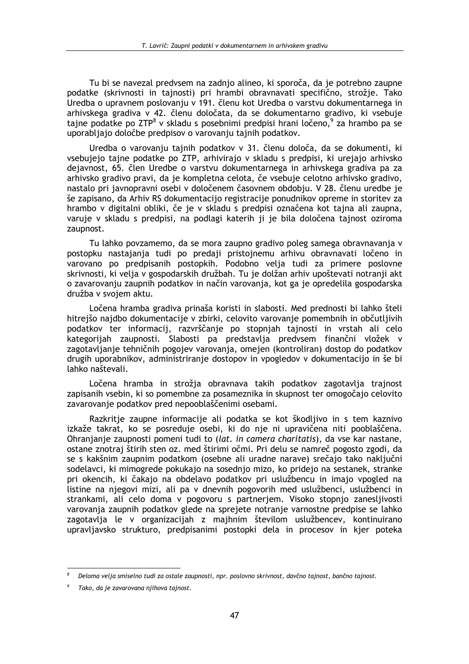Tu bi se navezal predvsem na zadnio alineo, ki sporoča, da je potrebno zaupne podatke (skrivnosti in tainosti) pri hrambi obravnavati specifično, strožie. Tako .<br>Uredba o upravnem poslovanju v 191. členu kot Uredba o varstvu dokumentarnega in arhivskega gradiva v 42. členu določata, da se dokumentarno gradivo, ki vsebuje tajne podatke po ZTP<sup>8</sup> v skladu s posebnimi predpisi hrani ločeno,<sup>9</sup> za hrambo pa se uporabljajo določbe predpisov o varovanju tajnih podatkov.

Uredba o varovanju tajnih podatkov v 31. členu določa, da se dokumenti, ki vsebujejo tajne podatke po ZTP, arhivirajo v skladu s predpisi, ki urejajo arhivsko dejavnost, 65. člen Uredbe o varstvu dokumentarnega in arhivskega gradiva pa za arhivsko gradivo pravi, da je kompletna celota, če vsebuje celotno arhivsko gradivo, nastalo pri javnopravni osebi v določenem časovnem obdobju. V 28. členu uredbe je še zapisano, da Arhiv RS dokumentacijo registracije ponudnikov opreme in storitev za hrambo v digitalni obliki, če je v skladu s predpisi označena kot tajna ali zaupna, varuje v skladu s predpisi, na podlagi katerih ji je bila določena tajnost oziroma zaupnost.

Tu lahko povzamemo, da se mora zaupno gradivo poleg samega obravnavanja v postopku nastajanja tudi po predaji pristojnemu arhivu obravnavati ločeno in varovano po predpisanih postopkih. Podobno velja tudi za primere poslovne skrivnosti, ki velja v gospodarskih družbah. Tu je dolžan arhiv upoštevati notranji akt o zavarovanju zaupnih podatkov in način varovanja, kot ga je opredelila gospodarska družba v svojem aktu.

Ločena hramba gradiva prinaša koristi in slabosti. Med prednosti bi lahko šteli hitrejšo najdbo dokumentacije v zbirki, celovito varovanje pomembnih in občutljivih podatkov ter informacij, razvrščanje po stopnjah tajnosti in vrstah ali celo kategorijah zaupnosti. Slabosti pa predstavlja predvsem finančni vložek v zagotavljanje tehničnih pogojev varovanja, omejen (kontroliran) dostop do podatkov drugih uporabnikov, administriranje dostopov in vpogledov v dokumentacijo in še bi lahko naštevali.

Ločena hramba in strožja obravnava takih podatkov zagotavlja trajnost zapisanih vsebin, ki so pomembne za posameznika in skupnost ter omogočajo celovito zavarovanie podatkov pred nepooblaščenimi osebami.

Razkritie zaupne informacije ali podatka se kot škodlijvo in s tem kaznivo izkaže takrat, ko se posreduje osebi, ki do nie ni upravičena niti pooblaščena. Ohranjanje zaupnosti pomeni tudi to (lat. in camera charitatis), da vse kar nastane, ostane znotraj štirih sten oz. med štirimi očmi. Pri delu se namreč pogosto zgodi, da se s kakšnim zaupnim podatkom (osebne ali uradne narave) srečajo tako naključni sodelavci, ki mimogrede pokukajo na sosednjo mizo, ko pridejo na sestanek, stranke pri okencih, ki čakajo na obdelavo podatkov pri uslužbencu in imajo vpogled na listine na njegovi mizi, ali pa v dnevnih pogovorih med uslužbenci, uslužbenci in strankami, ali celo doma v pogovoru s partnerjem. Visoko stopnjo zanesljivosti varovanja zaupnih podatkov glede na sprejete notranje varnostne predpise se lahko zagotavlja le v organizacijah z majhnim številom uslužbencev, kontinuirano upravljavsko strukturo, predpisanimi postopki dela in procesov in kjer poteka

Deloma velja smiselno tudi za ostale zaupnosti, npr. poslovno skrivnost, davčno tajnost, bančno tajnost.

Tako, da je zavarovana njihova tajnost.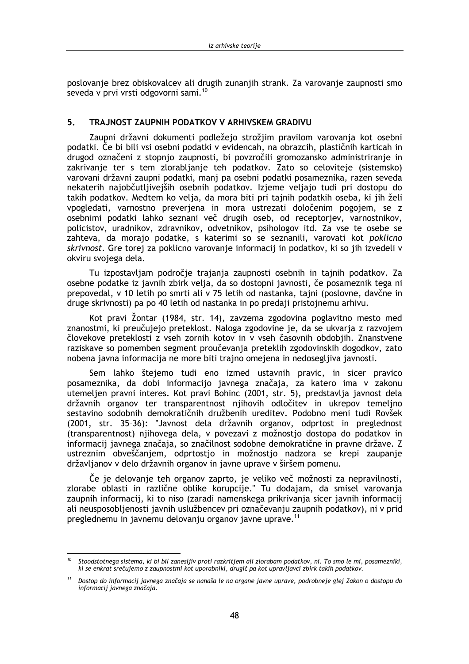poslovanie brez obiskovalcev ali drugih zunanijh strank. Za varovanie zaupnosti smo seveda v prvi vrsti odgovorni sami.<sup>10</sup>

#### 5. TRA INOST ZAUPNIH PODATKOV V ARHIVSKEM GRADIVIJ

Zaupni državni dokumenti podležejo strožjim pravilom varovanja kot osebni podatki. Če bi bili vsi osebni podatki v evidencah, na obrazcih, plastičnih karticah in drugod označeni z stopnjo zaupnosti, bi povzročili gromozansko administriranje in zakrivanje ter s tem zlorabljanje teh podatkov. Zato so celoviteje (sistemsko) varovani državni zaupni podatki, manj pa osebni podatki posameznika, razen seveda nekaterih najobčutljivejših osebnih podatkov. Izjeme veljajo tudi pri dostopu do takih podatkov. Medtem ko velja, da mora biti pri tajnih podatkih oseba, ki jih želi vpogledati, varnostno preverjena in mora ustrezati določenim pogojem, se z osebnimi podatki lahko seznani več drugih oseb, od receptorjev, varnostnikov, policistov, uradnikov, zdravnikov, odvetnikov, psihologov itd. Za vse te osebe se zahteva, da morajo podatke, s katerimi so se seznanili, varovati kot poklicno skrivnost. Gre torej za poklicno varovanje informacij in podatkov, ki so jih izvedeli v okviru svojega dela.

Tu izpostavljam področje trajanja zaupnosti osebnih in tajnih podatkov. Za osebne podatke iz javnih zbirk velja, da so dostopni javnosti, če posameznik tega ni prepovedal, v 10 letih po smrti ali v 75 letih od nastanka, tajni (poslovne, davčne in druge skrivnosti) pa po 40 letih od nastanka in po predaji pristojnemu arhivu.

Kot pravi Žontar (1984, str. 14), zavzema zgodovina poglavitno mesto med znanostmi, ki preučujejo preteklost. Naloga zgodovine je, da se ukvarja z razvojem človekove preteklosti z vseh zornih kotov in v vseh časovnih obdobjih. Znanstvene raziskave so pomemben segment proučevanja preteklih zgodovinskih dogodkov, zato nobena javna informacija ne more biti trajno omejena in nedosegljiva javnosti.

Sem lahko štejemo tudi eno izmed ustavnih pravic, in sicer pravico posameznika, da dobi informacijo javnega značaja, za katero ima v zakonu utemelien pravni interes. Kot pravi Bohinc (2001, str. 5), predstavlja javnost dela državnih organov ter transparentnost njihovih odločitev in ukrepov temeljno sestavino sodobnih demokratičnih družbenih ureditev. Podobno meni tudi Rovšek (2001, str. 35-36): "Javnost dela državnih organov, odprtost in preglednost (transparentnost) njihovega dela, v povezavi z možnostjo dostopa do podatkov in informacij javnega značaja, so značilnost sodobne demokratične in pravne države. Z ustreznim obveščanjem, odprtostjo in možnostjo nadzora se krepi zaupanje državljanov v delo državnih organov in javne uprave v širšem pomenu.

Če je delovanje teh organov zaprto, je veliko več možnosti za nepravilnosti, zlorabe oblasti in različne oblike korupcije." Tu dodajam, da smisel varovanja zaupnih informacij, ki to niso (zaradi namenskega prikrivanja sicer javnih informacij ali neusposobljenosti javnih uslužbencev pri označevanju zaupnih podatkov), ni v prid preglednemu in javnemu delovanju organov javne uprave.<sup>11</sup>

<sup>&</sup>lt;sup>10</sup> Stoodstotnega sistema, ki bi bil zanesljiv proti razkritjem ali zlorabam podatkov, ni. To smo le mi, posamezniki, ki se enkrat srečujemo z zaupnostmi kot uporabniki, drugič pa kot upravljavci zbirk takih podatkov.

<sup>&</sup>lt;sup>11</sup> Dostop do informacij javnega značaja se nanaša le na organe javne uprave, podrobneje glej Zakon o dostopu do informacij javnega značaja.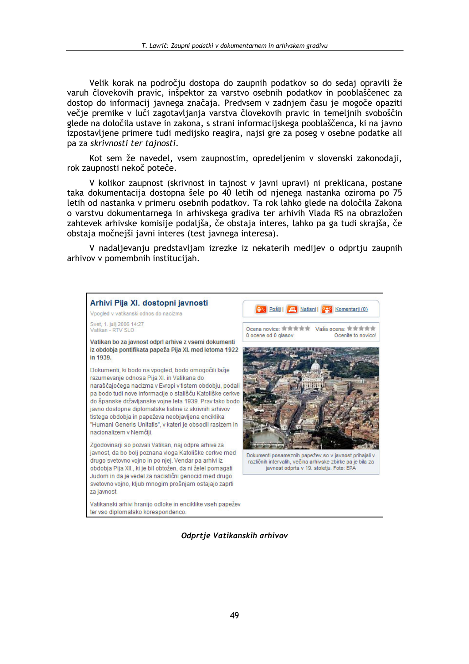Velik korak na področiu dostopa do zaupnih podatkov so do sedaj opravili že varuh človekovih pravic, inšpektor za varstvo osebnih podatkov in pooblaščenec za dostop do informacij javnega značaja. Predvsem v zadnjem času je mogoče opaziti večje premike v luči zagotavljanja varstva človekovih pravic in temeljnih svoboščin glede na določila ustave in zakona, s strani informacijskega pooblaščenca, ki na javno izpostavljene primere tudi medijsko reagira, najsi gre za poseg v osebne podatke ali pa za skrivnosti ter tajnosti.

Kot sem že navedel, vsem zaupnostim, opredeljenim v slovenski zakonodaji, rok zaupnosti nekoč poteče.

V kolikor zaupnost (skrivnost in tajnost v javni upravi) ni preklicana, postane taka dokumentacija dostopna šele po 40 letih od njenega nastanka oziroma po 75 letih od nastanka v primeru osebnih podatkov. Ta rok lahko glede na določila Zakona o varstvu dokumentarnega in arhivskega gradiva ter arhivih Vlada RS na obrazložen zahtevek arhivske komisije podaljša, če obstaja interes, lahko pa ga tudi skrajša, če obstaja močnejši javni interes (test javnega interesa).

V nadaljevanju predstavljam izrezke iz nekaterih medijev o odprtju zaupnih arhivov v pomembnih institucijah.



Odprtje Vatikanskih arhivov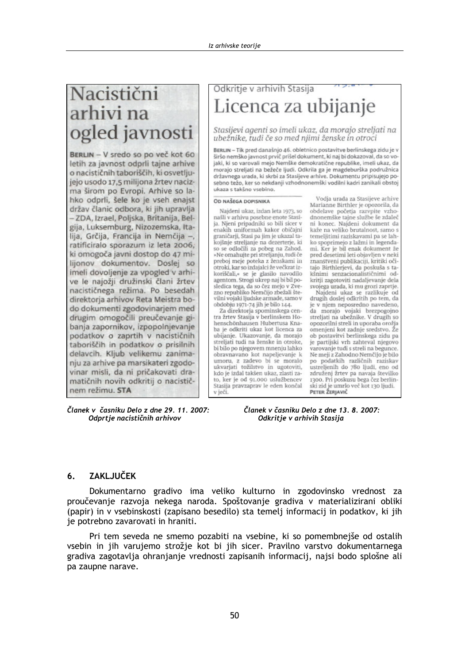# Nacistični arhivi na ogled javnosti

BERLIN - V sredo so po več kot 60 letih za javnost odprli tajne arhive o nacističnih taboriščih, ki osvetljujejo usodo 17,5 milijona žrtev nacizma širom po Evropi. Arhive so lahko odprli, šele ko je vseh enajst držav članic odbora, ki jih upravlja - ZDA, Izrael, Poljska, Britanija, Belgija, Luksemburg, Nizozemska, Italija, Grčija, Francija in Nemčija -, ratificiralo sporazum iz leta 2006, ki omogoča javni dostop do 47 milijonov dokumentov. Doslej so imeli dovoljenje za vpogled v arhive le najožii družinski člani žrtev nacističnega režima. Po besedah direktorja arhivov Reta Meistra bodo dokumenti zgodovinarjem med drugim omogočili preučevanje gibanja zapornikov, izpopolnjevanje podatkov o zaprtih v nacističnih taboriščih in podatkov o prisilnih delavcih. Kljub velikemu zanimanju za arhive pa marsikateri zgodovinar misli, da ni pričakovati dramatičnih novih odkritij o nacističnem režimu. STA

Članek v časniku Delo z dne 29. 11. 2007: Odprtje nacističnih arhivov

# Odkritje v arhivih Stasija Licenca za ubijanje

Stasijevi agenti so imeli ukaz, da morajo streljati na ubežnike, tudi če so med njimi ženske in otroci

BERLIN - Tik pred današnjo 46. obletnico postavitve berlinskega zidu je v širšo nemško javnost prvič prišel dokument, ki naj bi dokazoval, da so vojaki, ki so varovali mejo Nemške demokratične republike, imeli ukaz, da morajo streljati na bežeče ljudi. Odkrila ga je magdeburška podružnica državnega urada, ki skrbi za Stasijeve arhive. Dokumentu pripisujejo posebno težo, ker so nekdanji vzhodnonemški vodilni kadri zanikali obstoj ukaza s takéno vsebino

## OD NAŠEGA DOPISNIKA

Naideni ukaz, izdan leta 1973, sonašli v arhivu posebne enote Stasija. Njeni pripadniki so bili sicer v enakih uniformah kakor običajni graničarji, Stasi pa jim je ukazal takojšnje streljanje na dezerterje, ki so se odločili za pobeg na Zahod.<br>»Ne omahujte pri streljanju, tudi če preboj meje poteka z ženskami in otroki, kar so izdajalci že večkrat izkoriščali,« se je glasilo navodilo agentom. Strogi ukrep naj bi bil posledica tega, da so čez mejo v Zvezno republiko Nemčijo zbežali številni vojaki ljudske armade, samo v obdobju 1971-74 jih je bilo 144.

Za direktorja spominskega centra žrtev Stasija v berlinskem Hohenschönhausen Hubertusa Knaba je odkriti ukaz kot licenca za ubijanje. Ukazovanje, da morajo streliati tudi na ženske in otroke. bi bilo po njegovem mnenju lahko obravnavano kot napeljevanje k umoru, z zadevo bi se moralo ukvarjati tožilstvo in ugotoviti, kdo je izdal takšen ukaz, zlasti zato, ker je od 91.000 uslužbencev Stasija pravzaprav le eden končal v ječi

Vodja urada za Stasijeve arhive Marianne Birthler je opozorila, da obdelave početja razvpite vzhodnonemške tajne službe še zdaleč ni konec. Najdeni dokument da kaže na veliko brutalnost, samo s temeljitimi raziskavami pa se lahko spoprimejo z lažmi in legendami. Ker je bil enak dokument že<br>pred desetimi leti objavljen v neki znanstveni publikaciji, kritiki očitajo Birthlerjevi, da poskuša s takšnimi senzacionalističnimi odkritji zagotoviti nadaljevanje dela svojega urada, ki mu grozi zaprtje.

Najdeni ukaz se razlikuje od drugih doslej odkritih po tem, da je v njem neposredno navedeno, da morajo vojaki brezpogojno<br>streliati na ubežnike. V drugih so opozorilni streli in uporaba orožja omenjeni kot zadnje sredstvo. Že ob postavitvi berlinskega zidu pa je partijski vrh zahteval njegovo varovanje tudi s streli na begunce. Ne meji z Zahodno Nemčijo je bilo po podatkih različnih raziskav ustreljenih do 780 ljudi, eno od združenj žrtev pa navaja številko 1300. Pri poskusu bega čez berlinski zid je umrlo več kot 130 ljudi. PETER ZERJAVIČ

Članek v časniku Delo z dne 13, 8, 2007: Odkritje v arhivih Stasija

#### **ZAKLJUČEK** 6.

Dokumentarno gradivo ima veliko kulturno in zgodovinsko vrednost za proučevanje razvoja nekega naroda. Spoštovanje gradiva v materializirani obliki (papir) in v vsebinskosti (zapisano besedilo) sta temelj informacij in podatkov, ki jih je potrebno zavarovati in hraniti.

Pri tem seveda ne smemo pozabiti na vsebine, ki so pomembnejše od ostalih vsebin in jih varujemo strožje kot bi jih sicer. Pravilno varstvo dokumentarnega gradiva zagotavlja ohranjanje vrednosti zapisanih informacij, najsi bodo splošne ali pa zaupne narave.